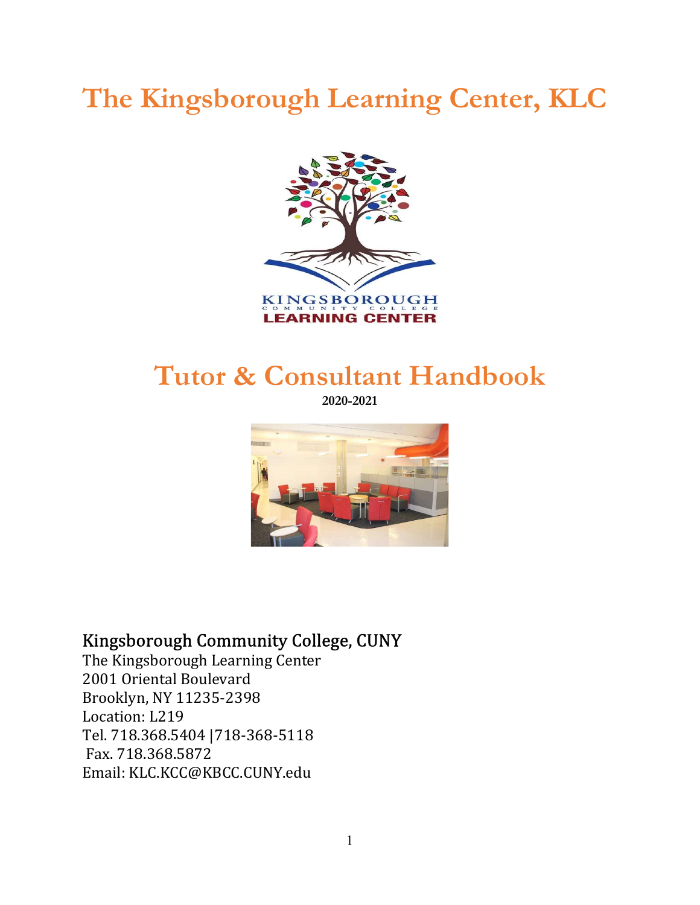# The Kingsborough Learning Center, KLC



## Tutor & Consultant Handbook

2020-2021



## Kingsborough Community College, CUNY

The Kingsborough Learning Center 2001 Oriental Boulevard Brooklyn, NY 11235-2398 Location: L219 Tel. 718.368.5404 |718-368-5118 Fax. 718.368.5872 Email: KLC.KCC@KBCC.CUNY.edu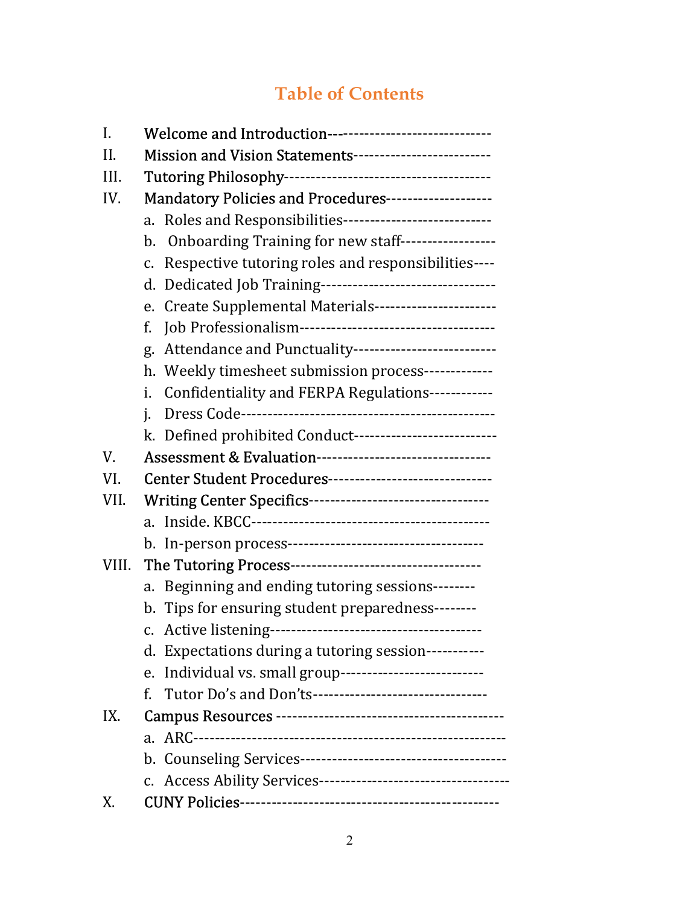## Table of Contents

| I.    | Welcome and Introduction------------------------------               |  |
|-------|----------------------------------------------------------------------|--|
| II.   | Mission and Vision Statements--------------------------              |  |
| III.  |                                                                      |  |
| IV.   | Mandatory Policies and Procedures-------------------                 |  |
|       | a. Roles and Responsibilities----------------------------            |  |
|       | b. Onboarding Training for new staff------------------               |  |
|       | Respective tutoring roles and responsibilities----<br>$\mathsf{C}$ . |  |
|       | d. Dedicated Job Training---------------------------------           |  |
|       | e. Create Supplemental Materials-----------------------              |  |
|       | f.                                                                   |  |
|       | g. Attendance and Punctuality---------------------------             |  |
|       | h. Weekly timesheet submission process-------------                  |  |
|       | Confidentiality and FERPA Regulations------------<br>i.              |  |
|       | i.                                                                   |  |
|       | k. Defined prohibited Conduct---------------------------             |  |
| V.    | Assessment & Evaluation--------------------------------              |  |
| VI.   | Center Student Procedures-------------------------------             |  |
| VII.  |                                                                      |  |
|       |                                                                      |  |
|       |                                                                      |  |
| VIII. |                                                                      |  |
|       | a. Beginning and ending tutoring sessions--------                    |  |
|       | b. Tips for ensuring student preparedness--------                    |  |
|       |                                                                      |  |
|       | d. Expectations during a tutoring session-----------                 |  |
|       | Individual vs. small group---------------------------<br>e.          |  |
|       | Tutor Do's and Don'ts---------------------------------<br>f.         |  |
| IX.   |                                                                      |  |
|       |                                                                      |  |
|       |                                                                      |  |
|       |                                                                      |  |
| Х.    |                                                                      |  |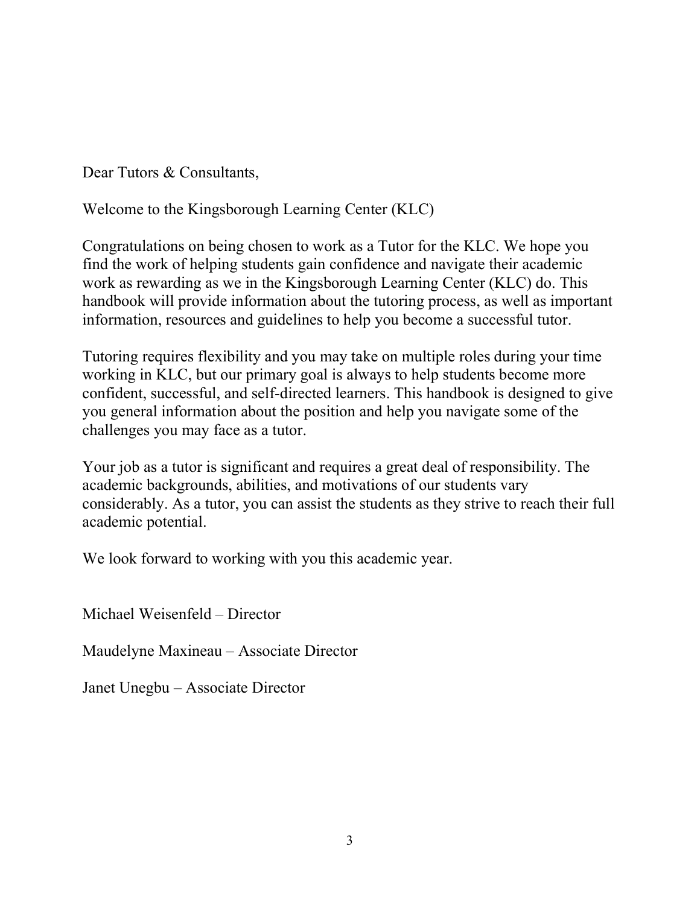Dear Tutors & Consultants,

Welcome to the Kingsborough Learning Center (KLC)

Congratulations on being chosen to work as a Tutor for the KLC. We hope you find the work of helping students gain confidence and navigate their academic work as rewarding as we in the Kingsborough Learning Center (KLC) do. This handbook will provide information about the tutoring process, as well as important information, resources and guidelines to help you become a successful tutor.

Tutoring requires flexibility and you may take on multiple roles during your time working in KLC, but our primary goal is always to help students become more confident, successful, and self-directed learners. This handbook is designed to give you general information about the position and help you navigate some of the challenges you may face as a tutor.

Your job as a tutor is significant and requires a great deal of responsibility. The academic backgrounds, abilities, and motivations of our students vary considerably. As a tutor, you can assist the students as they strive to reach their full academic potential.

We look forward to working with you this academic year.

Michael Weisenfeld – Director

Maudelyne Maxineau – Associate Director

Janet Unegbu – Associate Director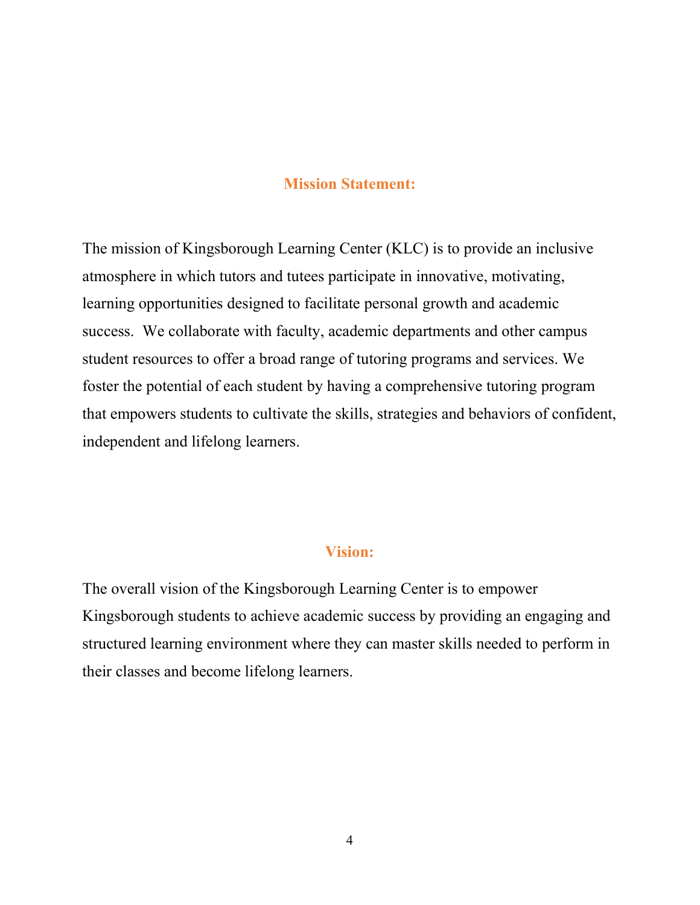#### Mission Statement:

The mission of Kingsborough Learning Center (KLC) is to provide an inclusive atmosphere in which tutors and tutees participate in innovative, motivating, learning opportunities designed to facilitate personal growth and academic success. We collaborate with faculty, academic departments and other campus student resources to offer a broad range of tutoring programs and services. We foster the potential of each student by having a comprehensive tutoring program that empowers students to cultivate the skills, strategies and behaviors of confident, independent and lifelong learners.

#### Vision:

The overall vision of the Kingsborough Learning Center is to empower Kingsborough students to achieve academic success by providing an engaging and structured learning environment where they can master skills needed to perform in their classes and become lifelong learners.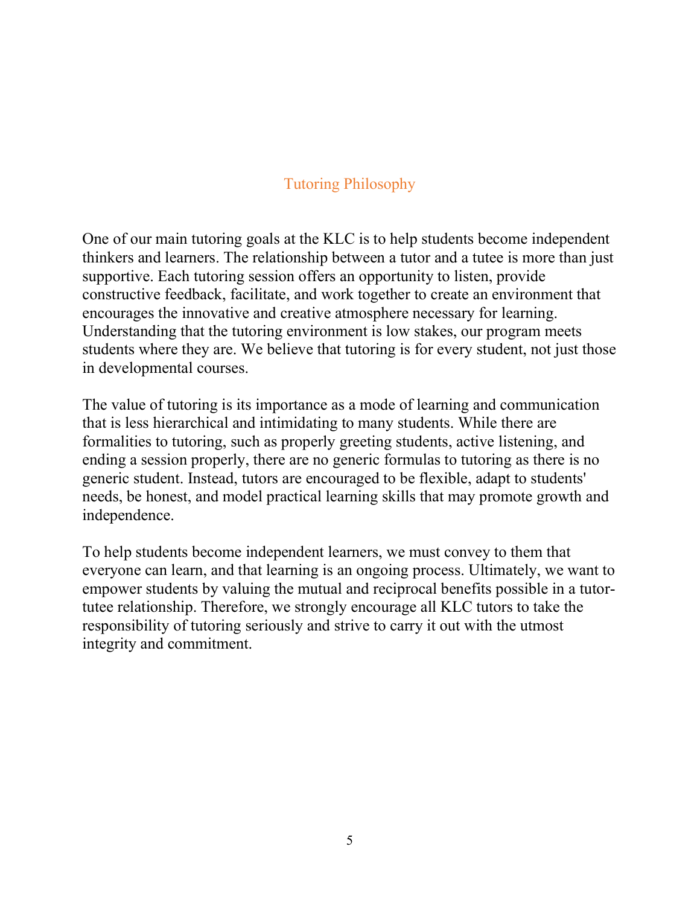## Tutoring Philosophy

One of our main tutoring goals at the KLC is to help students become independent thinkers and learners. The relationship between a tutor and a tutee is more than just supportive. Each tutoring session offers an opportunity to listen, provide constructive feedback, facilitate, and work together to create an environment that encourages the innovative and creative atmosphere necessary for learning. Understanding that the tutoring environment is low stakes, our program meets students where they are. We believe that tutoring is for every student, not just those in developmental courses.

The value of tutoring is its importance as a mode of learning and communication that is less hierarchical and intimidating to many students. While there are formalities to tutoring, such as properly greeting students, active listening, and ending a session properly, there are no generic formulas to tutoring as there is no generic student. Instead, tutors are encouraged to be flexible, adapt to students' needs, be honest, and model practical learning skills that may promote growth and independence.

To help students become independent learners, we must convey to them that everyone can learn, and that learning is an ongoing process. Ultimately, we want to empower students by valuing the mutual and reciprocal benefits possible in a tutortutee relationship. Therefore, we strongly encourage all KLC tutors to take the responsibility of tutoring seriously and strive to carry it out with the utmost integrity and commitment.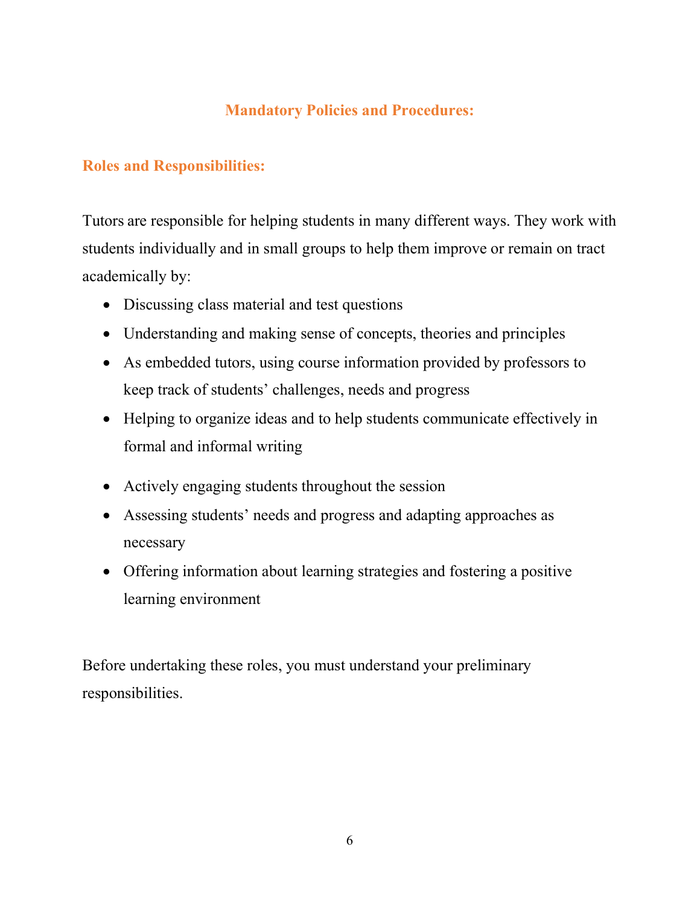## Mandatory Policies and Procedures:

## Roles and Responsibilities:

Tutors are responsible for helping students in many different ways. They work with students individually and in small groups to help them improve or remain on tract academically by:

- Discussing class material and test questions
- Understanding and making sense of concepts, theories and principles
- As embedded tutors, using course information provided by professors to keep track of students' challenges, needs and progress
- Helping to organize ideas and to help students communicate effectively in formal and informal writing
- Actively engaging students throughout the session
- Assessing students' needs and progress and adapting approaches as necessary
- Offering information about learning strategies and fostering a positive learning environment

Before undertaking these roles, you must understand your preliminary responsibilities.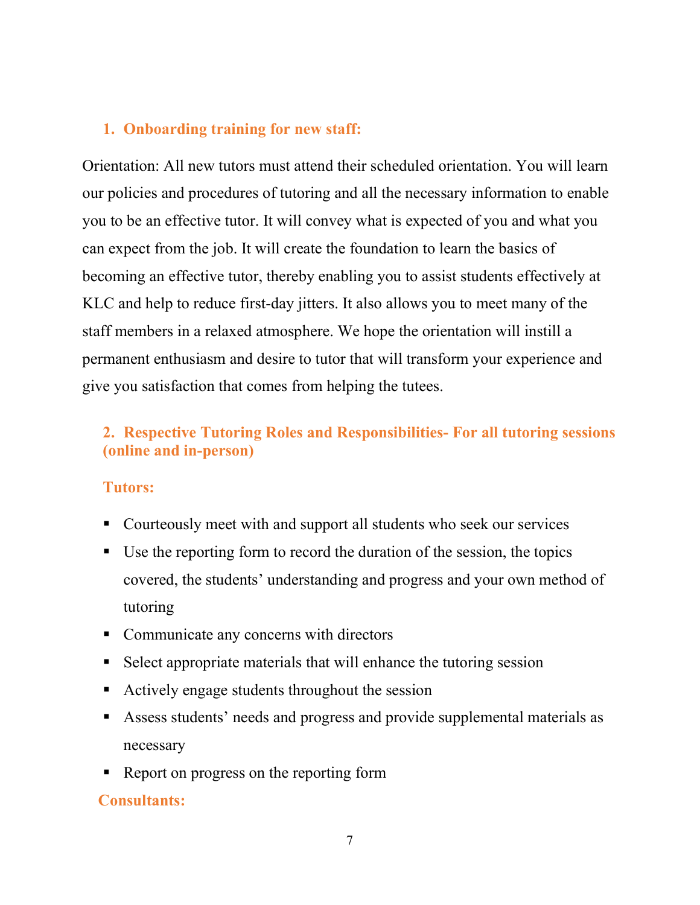#### 1. Onboarding training for new staff:

Orientation: All new tutors must attend their scheduled orientation. You will learn our policies and procedures of tutoring and all the necessary information to enable you to be an effective tutor. It will convey what is expected of you and what you can expect from the job. It will create the foundation to learn the basics of becoming an effective tutor, thereby enabling you to assist students effectively at KLC and help to reduce first-day jitters. It also allows you to meet many of the staff members in a relaxed atmosphere. We hope the orientation will instill a permanent enthusiasm and desire to tutor that will transform your experience and give you satisfaction that comes from helping the tutees.

## 2. Respective Tutoring Roles and Responsibilities- For all tutoring sessions (online and in-person)

#### Tutors:

- Courteously meet with and support all students who seek our services
- Use the reporting form to record the duration of the session, the topics covered, the students' understanding and progress and your own method of tutoring
- Communicate any concerns with directors
- Select appropriate materials that will enhance the tutoring session
- Actively engage students throughout the session
- Assess students' needs and progress and provide supplemental materials as necessary
- Report on progress on the reporting form

#### Consultants: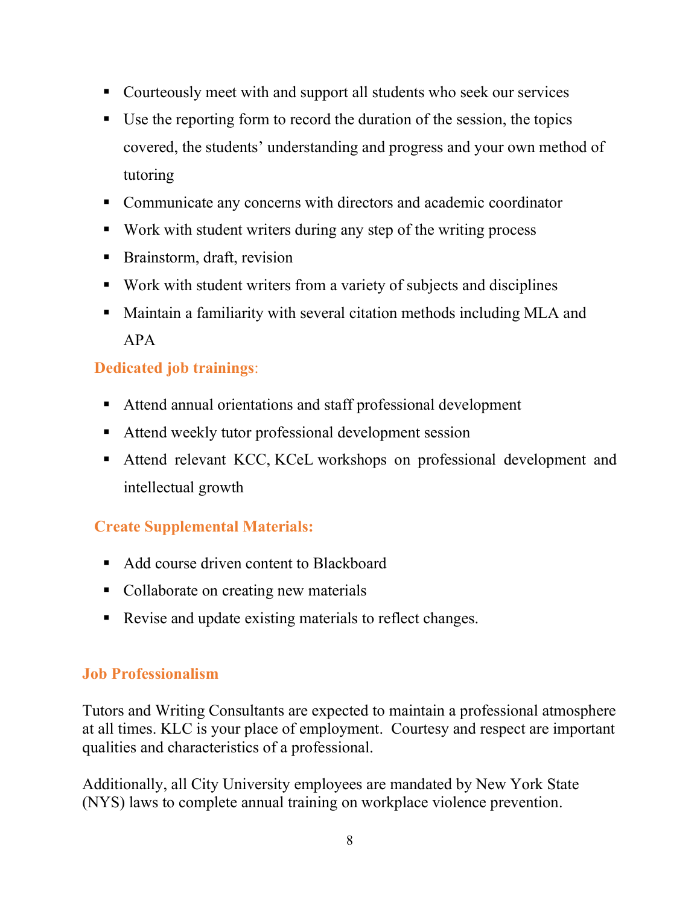- Courteously meet with and support all students who seek our services
- Use the reporting form to record the duration of the session, the topics covered, the students' understanding and progress and your own method of tutoring
- Communicate any concerns with directors and academic coordinator
- Work with student writers during any step of the writing process
- Brainstorm, draft, revision
- Work with student writers from a variety of subjects and disciplines
- Maintain a familiarity with several citation methods including MLA and APA

## Dedicated job trainings:

- Attend annual orientations and staff professional development
- Attend weekly tutor professional development session
- Attend relevant KCC, KCeL workshops on professional development and intellectual growth

## Create Supplemental Materials:

- Add course driven content to Blackboard
- Collaborate on creating new materials
- Revise and update existing materials to reflect changes.

## Job Professionalism

Tutors and Writing Consultants are expected to maintain a professional atmosphere at all times. KLC is your place of employment. Courtesy and respect are important qualities and characteristics of a professional.

Additionally, all City University employees are mandated by New York State (NYS) laws to complete annual training on workplace violence prevention.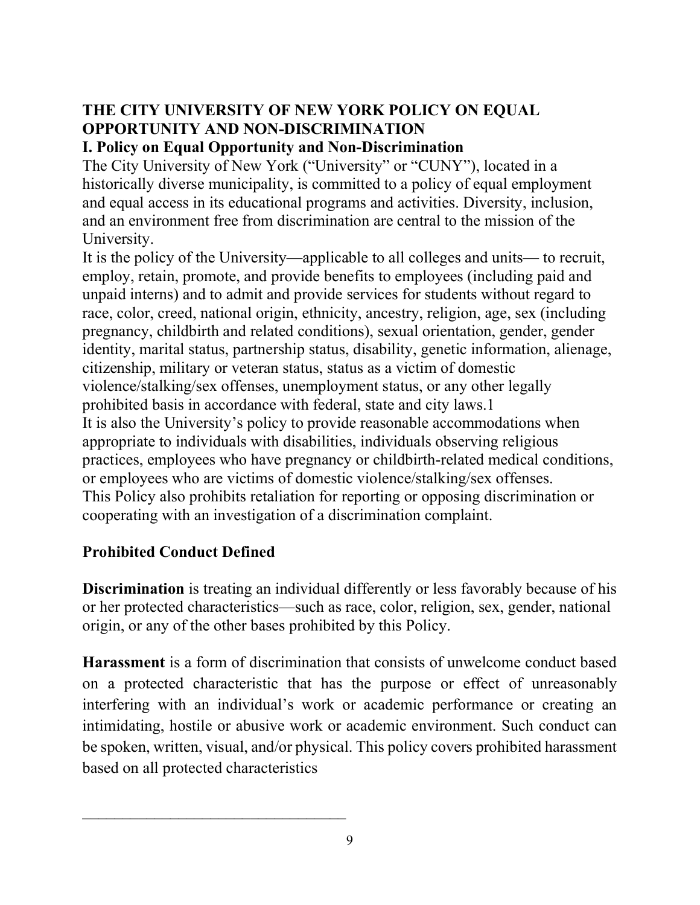## THE CITY UNIVERSITY OF NEW YORK POLICY ON EQUAL OPPORTUNITY AND NON-DISCRIMINATION

## I. Policy on Equal Opportunity and Non-Discrimination

The City University of New York ("University" or "CUNY"), located in a historically diverse municipality, is committed to a policy of equal employment and equal access in its educational programs and activities. Diversity, inclusion, and an environment free from discrimination are central to the mission of the University.

It is the policy of the University—applicable to all colleges and units— to recruit, employ, retain, promote, and provide benefits to employees (including paid and unpaid interns) and to admit and provide services for students without regard to race, color, creed, national origin, ethnicity, ancestry, religion, age, sex (including pregnancy, childbirth and related conditions), sexual orientation, gender, gender identity, marital status, partnership status, disability, genetic information, alienage, citizenship, military or veteran status, status as a victim of domestic violence/stalking/sex offenses, unemployment status, or any other legally prohibited basis in accordance with federal, state and city laws.1 It is also the University's policy to provide reasonable accommodations when appropriate to individuals with disabilities, individuals observing religious practices, employees who have pregnancy or childbirth-related medical conditions, or employees who are victims of domestic violence/stalking/sex offenses. This Policy also prohibits retaliation for reporting or opposing discrimination or cooperating with an investigation of a discrimination complaint.

## Prohibited Conduct Defined

Discrimination is treating an individual differently or less favorably because of his or her protected characteristics—such as race, color, religion, sex, gender, national origin, or any of the other bases prohibited by this Policy.

Harassment is a form of discrimination that consists of unwelcome conduct based on a protected characteristic that has the purpose or effect of unreasonably interfering with an individual's work or academic performance or creating an intimidating, hostile or abusive work or academic environment. Such conduct can be spoken, written, visual, and/or physical. This policy covers prohibited harassment based on all protected characteristics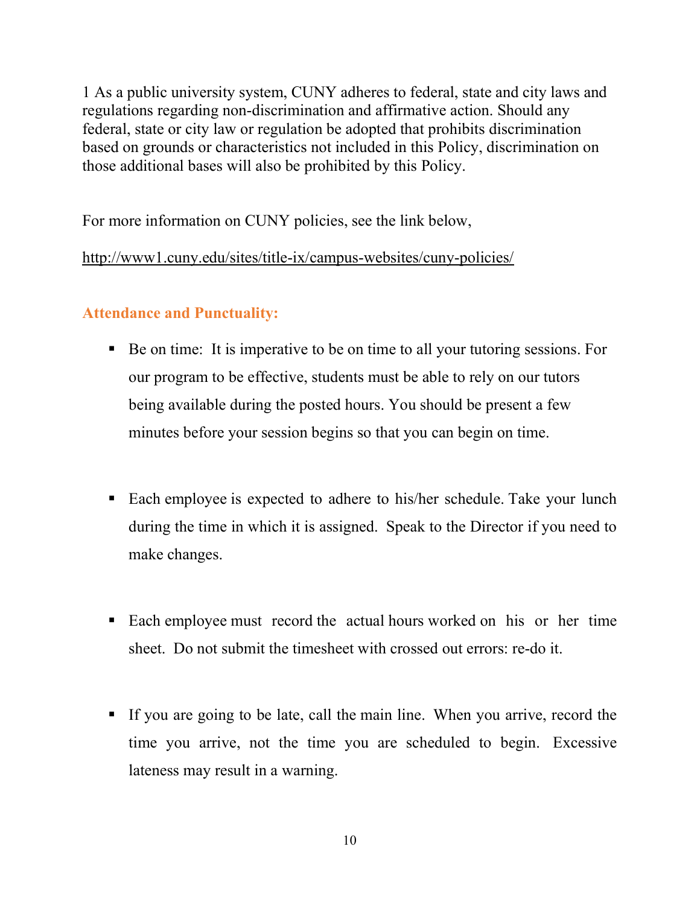1 As a public university system, CUNY adheres to federal, state and city laws and regulations regarding non-discrimination and affirmative action. Should any federal, state or city law or regulation be adopted that prohibits discrimination based on grounds or characteristics not included in this Policy, discrimination on those additional bases will also be prohibited by this Policy.

For more information on CUNY policies, see the link below,

http://www1.cuny.edu/sites/title-ix/campus-websites/cuny-policies/

## Attendance and Punctuality:

- Be on time: It is imperative to be on time to all your tutoring sessions. For our program to be effective, students must be able to rely on our tutors being available during the posted hours. You should be present a few minutes before your session begins so that you can begin on time.
- Each employee is expected to adhere to his/her schedule. Take your lunch during the time in which it is assigned. Speak to the Director if you need to make changes.
- Each employee must record the actual hours worked on his or her time sheet. Do not submit the timesheet with crossed out errors: re-do it.
- If you are going to be late, call the main line. When you arrive, record the time you arrive, not the time you are scheduled to begin. Excessive lateness may result in a warning.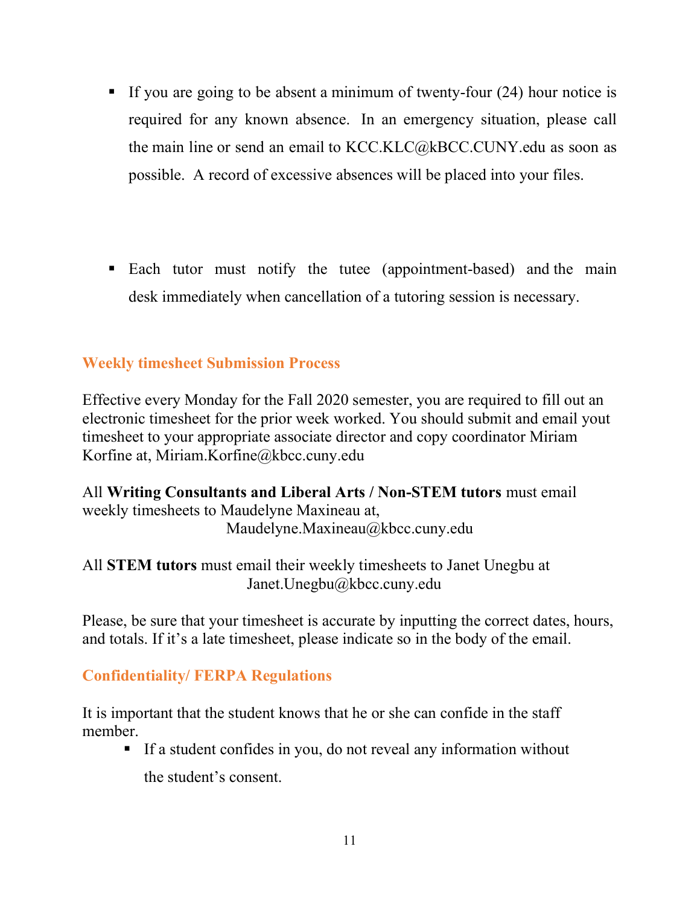- If you are going to be absent a minimum of twenty-four  $(24)$  hour notice is required for any known absence. In an emergency situation, please call the main line or send an email to KCC.KLC@kBCC.CUNY.edu as soon as possible. A record of excessive absences will be placed into your files.
- Each tutor must notify the tutee (appointment-based) and the main desk immediately when cancellation of a tutoring session is necessary.

#### Weekly timesheet Submission Process

Effective every Monday for the Fall 2020 semester, you are required to fill out an electronic timesheet for the prior week worked. You should submit and email yout timesheet to your appropriate associate director and copy coordinator Miriam Korfine at, Miriam.Korfine@kbcc.cuny.edu

All Writing Consultants and Liberal Arts / Non-STEM tutors must email weekly timesheets to Maudelyne Maxineau at, Maudelyne.Maxineau@kbcc.cuny.edu

All STEM tutors must email their weekly timesheets to Janet Unegbu at Janet.Unegbu@kbcc.cuny.edu

Please, be sure that your timesheet is accurate by inputting the correct dates, hours, and totals. If it's a late timesheet, please indicate so in the body of the email.

#### Confidentiality/ FERPA Regulations

It is important that the student knows that he or she can confide in the staff member.

If a student confides in you, do not reveal any information without the student's consent.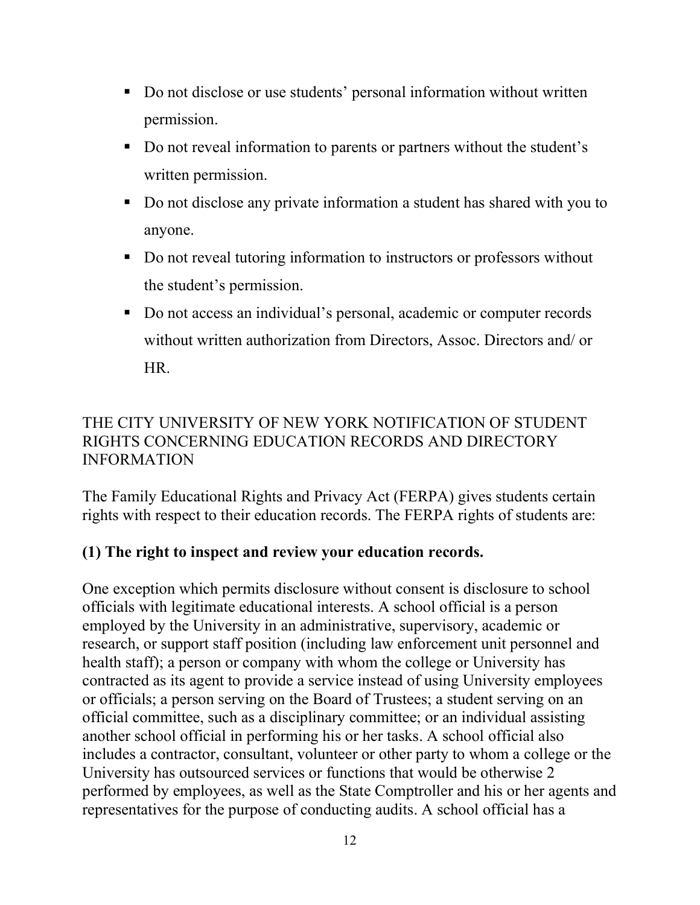- Do not disclose or use students' personal information without written permission.
- Do not reveal information to parents or partners without the student's written permission.
- Do not disclose any private information a student has shared with you to anyone.
- Do not reveal tutoring information to instructors or professors without the student's permission.
- Do not access an individual's personal, academic or computer records without written authorization from Directors, Assoc. Directors and/ or HR.

## THE CITY UNIVERSITY OF NEW YORK NOTIFICATION OF STUDENT RIGHTS CONCERNING EDUCATION RECORDS AND DIRECTORY INFORMATION

The Family Educational Rights and Privacy Act (FERPA) gives students certain rights with respect to their education records. The FERPA rights of students are:

## (1) The right to inspect and review your education records.

One exception which permits disclosure without consent is disclosure to school officials with legitimate educational interests. A school official is a person employed by the University in an administrative, supervisory, academic or research, or support staff position (including law enforcement unit personnel and health staff); a person or company with whom the college or University has contracted as its agent to provide a service instead of using University employees or officials; a person serving on the Board of Trustees; a student serving on an official committee, such as a disciplinary committee; or an individual assisting another school official in performing his or her tasks. A school official also includes a contractor, consultant, volunteer or other party to whom a college or the University has outsourced services or functions that would be otherwise 2 performed by employees, as well as the State Comptroller and his or her agents and representatives for the purpose of conducting audits. A school official has a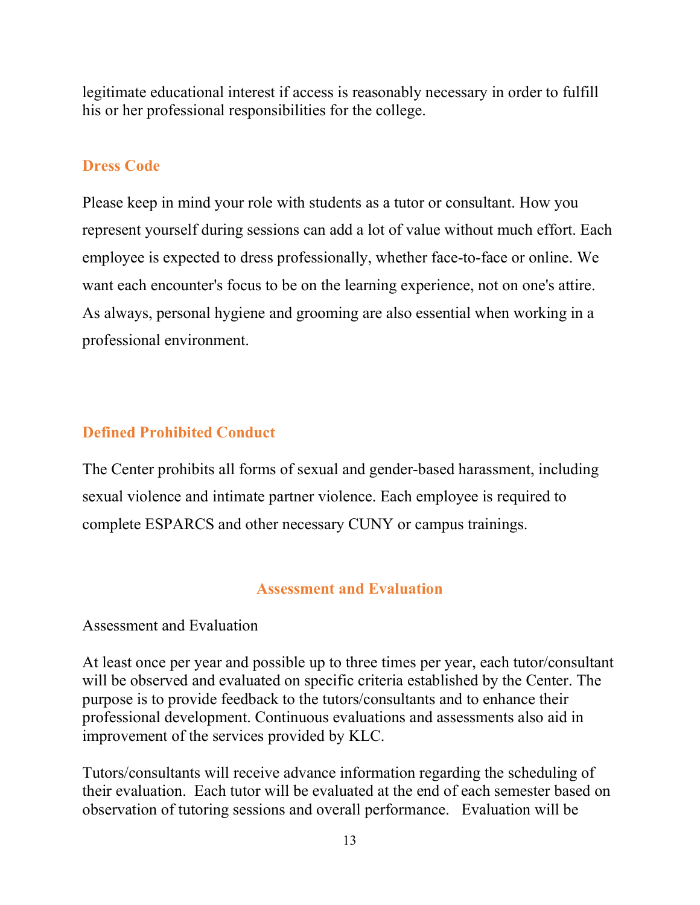legitimate educational interest if access is reasonably necessary in order to fulfill his or her professional responsibilities for the college.

#### Dress Code

Please keep in mind your role with students as a tutor or consultant. How you represent yourself during sessions can add a lot of value without much effort. Each employee is expected to dress professionally, whether face-to-face or online. We want each encounter's focus to be on the learning experience, not on one's attire. As always, personal hygiene and grooming are also essential when working in a professional environment.

## Defined Prohibited Conduct

The Center prohibits all forms of sexual and gender-based harassment, including sexual violence and intimate partner violence. Each employee is required to complete ESPARCS and other necessary CUNY or campus trainings.

#### Assessment and Evaluation

#### Assessment and Evaluation

At least once per year and possible up to three times per year, each tutor/consultant will be observed and evaluated on specific criteria established by the Center. The purpose is to provide feedback to the tutors/consultants and to enhance their professional development. Continuous evaluations and assessments also aid in improvement of the services provided by KLC.

Tutors/consultants will receive advance information regarding the scheduling of their evaluation. Each tutor will be evaluated at the end of each semester based on observation of tutoring sessions and overall performance. Evaluation will be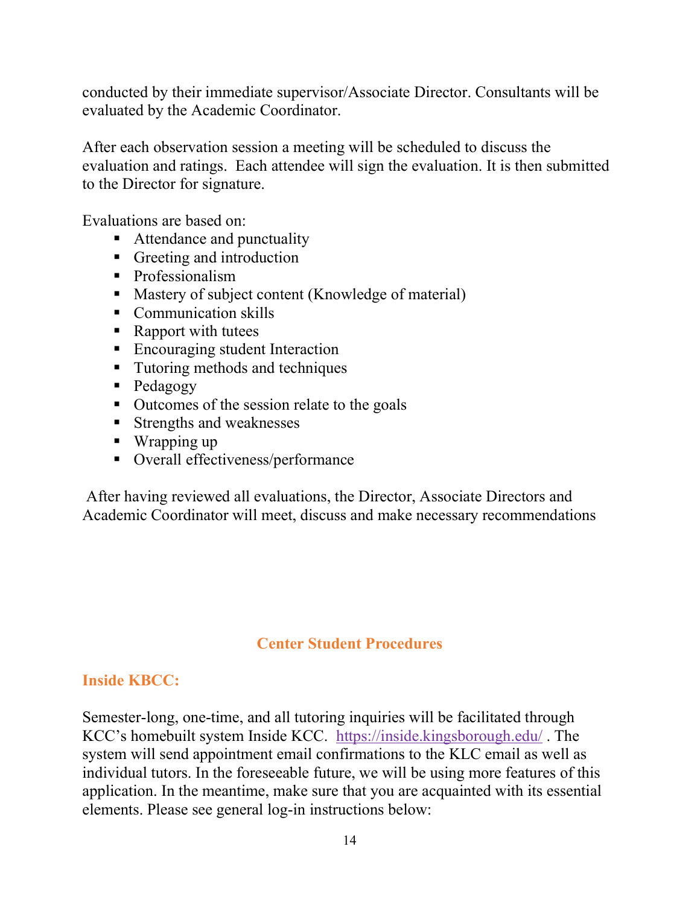conducted by their immediate supervisor/Associate Director. Consultants will be evaluated by the Academic Coordinator.

After each observation session a meeting will be scheduled to discuss the evaluation and ratings. Each attendee will sign the evaluation. It is then submitted to the Director for signature.

Evaluations are based on:

- Attendance and punctuality
- Greeting and introduction
- Professionalism
- **Mastery of subject content (Knowledge of material)**
- Communication skills
- Rapport with tutees
- **Encouraging student Interaction**
- **Tutoring methods and techniques**
- Pedagogy
- Outcomes of the session relate to the goals
- **Strengths and weaknesses**
- Wrapping up
- Overall effectiveness/performance

 After having reviewed all evaluations, the Director, Associate Directors and Academic Coordinator will meet, discuss and make necessary recommendations

#### Center Student Procedures

#### Inside KBCC:

Semester-long, one-time, and all tutoring inquiries will be facilitated through KCC's homebuilt system Inside KCC. https://inside.kingsborough.edu/ . The system will send appointment email confirmations to the KLC email as well as individual tutors. In the foreseeable future, we will be using more features of this application. In the meantime, make sure that you are acquainted with its essential elements. Please see general log-in instructions below: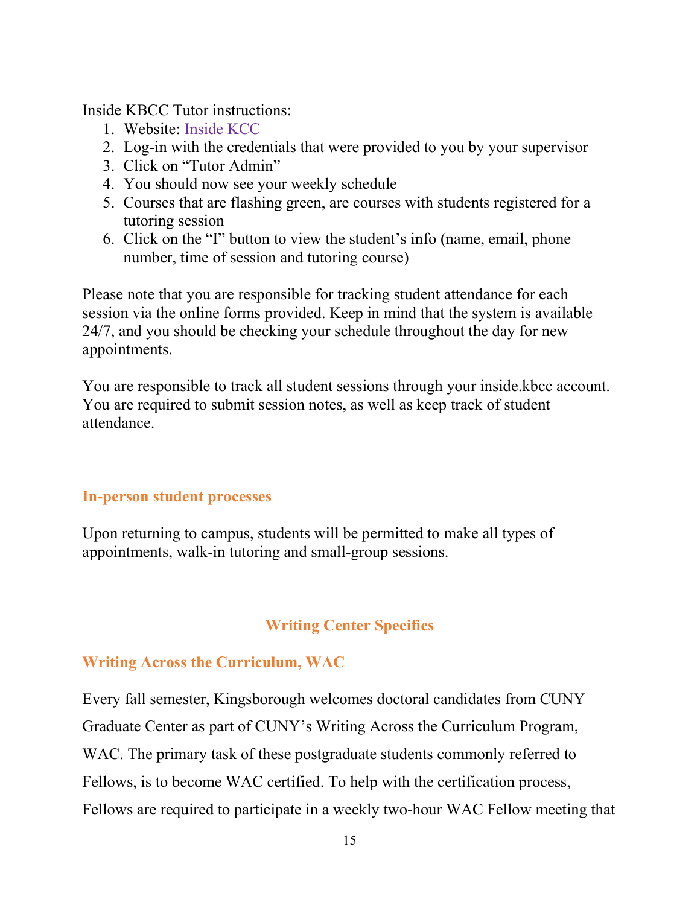Inside KBCC Tutor instructions:

- 1. Website: Inside KCC
- 2. Log-in with the credentials that were provided to you by your supervisor
- 3. Click on "Tutor Admin"
- 4. You should now see your weekly schedule
- 5. Courses that are flashing green, are courses with students registered for a tutoring session
- 6. Click on the "I" button to view the student's info (name, email, phone number, time of session and tutoring course)

Please note that you are responsible for tracking student attendance for each session via the online forms provided. Keep in mind that the system is available 24/7, and you should be checking your schedule throughout the day for new appointments.

You are responsible to track all student sessions through your inside.kbcc account. You are required to submit session notes, as well as keep track of student attendance.

#### In-person student processes

Upon returning to campus, students will be permitted to make all types of appointments, walk-in tutoring and small-group sessions.

#### Writing Center Specifics

#### Writing Across the Curriculum, WAC

Every fall semester, Kingsborough welcomes doctoral candidates from CUNY Graduate Center as part of CUNY's Writing Across the Curriculum Program, WAC. The primary task of these postgraduate students commonly referred to Fellows, is to become WAC certified. To help with the certification process, Fellows are required to participate in a weekly two-hour WAC Fellow meeting that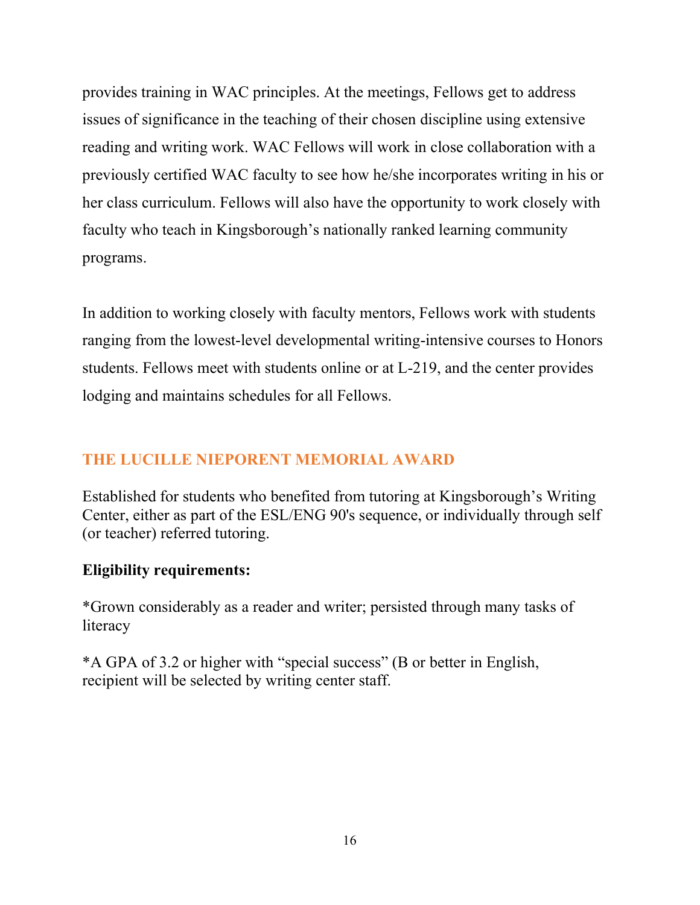provides training in WAC principles. At the meetings, Fellows get to address issues of significance in the teaching of their chosen discipline using extensive reading and writing work. WAC Fellows will work in close collaboration with a previously certified WAC faculty to see how he/she incorporates writing in his or her class curriculum. Fellows will also have the opportunity to work closely with faculty who teach in Kingsborough's nationally ranked learning community programs.

In addition to working closely with faculty mentors, Fellows work with students ranging from the lowest-level developmental writing-intensive courses to Honors students. Fellows meet with students online or at L-219, and the center provides lodging and maintains schedules for all Fellows.

### THE LUCILLE NIEPORENT MEMORIAL AWARD

Established for students who benefited from tutoring at Kingsborough's Writing Center, either as part of the ESL/ENG 90's sequence, or individually through self (or teacher) referred tutoring.

#### Eligibility requirements:

\*Grown considerably as a reader and writer; persisted through many tasks of literacy

\*A GPA of 3.2 or higher with "special success" (B or better in English, recipient will be selected by writing center staff.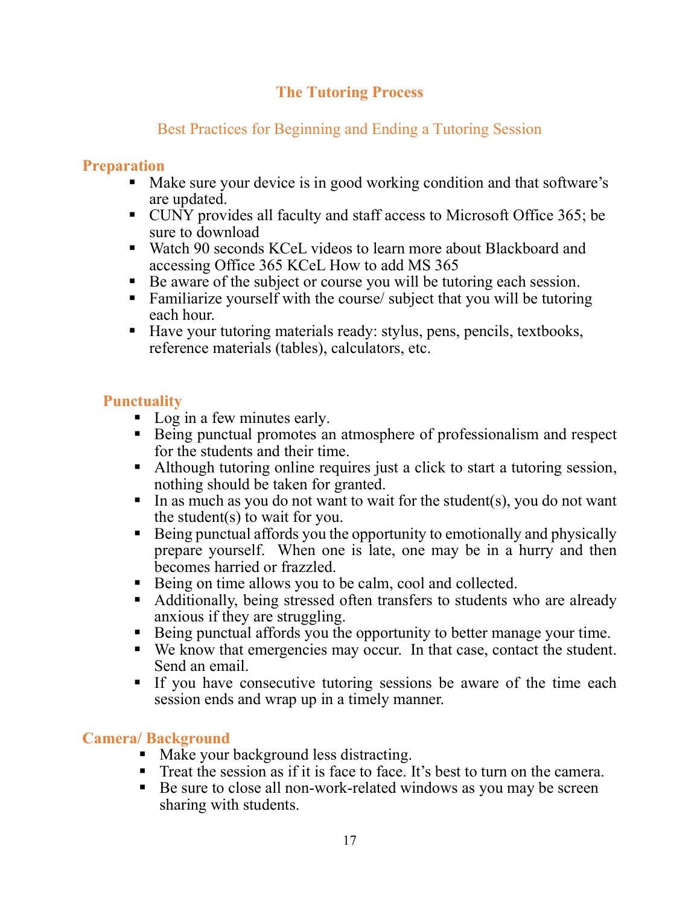### The Tutoring Process

## Best Practices for Beginning and Ending a Tutoring Session

### Preparation

- Make sure your device is in good working condition and that software's are updated.
- CUNY provides all faculty and staff access to Microsoft Office 365; be sure to download
- Watch 90 seconds KCeL videos to learn more about Blackboard and accessing Office 365 KCeL How to add MS 365
- Be aware of the subject or course you will be tutoring each session.
- Familiarize yourself with the course/ subject that you will be tutoring each hour.
- Have your tutoring materials ready: stylus, pens, pencils, textbooks, reference materials (tables), calculators, etc.

## **Punctuality**

- Log in a few minutes early.
- Being punctual promotes an atmosphere of professionalism and respect for the students and their time.
- Although tutoring online requires just a click to start a tutoring session, nothing should be taken for granted.
- In as much as you do not want to wait for the student(s), you do not want the student(s) to wait for you.
- E Being punctual affords you the opportunity to emotionally and physically prepare yourself. When one is late, one may be in a hurry and then becomes harried or frazzled.
- Being on time allows you to be calm, cool and collected.
- Additionally, being stressed often transfers to students who are already anxious if they are struggling.
- Being punctual affords you the opportunity to better manage your time.
- We know that emergencies may occur. In that case, contact the student. Send an email.
- If you have consecutive tutoring sessions be aware of the time each session ends and wrap up in a timely manner.

#### Camera/ Background

- Make your background less distracting.
- Treat the session as if it is face to face. It's best to turn on the camera.
- Be sure to close all non-work-related windows as you may be screen sharing with students.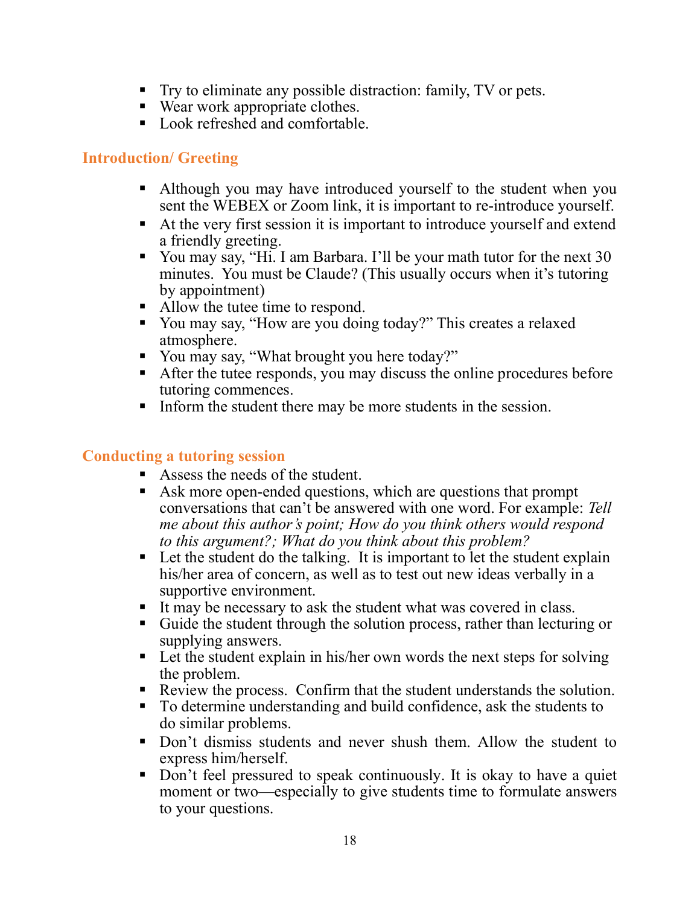- Try to eliminate any possible distraction: family, TV or pets.
- Wear work appropriate clothes.
- Look refreshed and comfortable.

#### Introduction/ Greeting

- Although you may have introduced yourself to the student when you sent the WEBEX or Zoom link, it is important to re-introduce yourself.
- At the very first session it is important to introduce yourself and extend a friendly greeting.
- You may say, "Hi. I am Barbara. I'll be your math tutor for the next 30 minutes. You must be Claude? (This usually occurs when it's tutoring by appointment)
- Allow the tutee time to respond.
- You may say, "How are you doing today?" This creates a relaxed atmosphere.
- You may say, "What brought you here today?"
- After the tutee responds, you may discuss the online procedures before tutoring commences.
- Inform the student there may be more students in the session.

#### Conducting a tutoring session

- Assess the needs of the student.
- Ask more open-ended questions, which are questions that prompt conversations that can't be answered with one word. For example: Tell me about this author's point; How do you think others would respond to this argument?; What do you think about this problem?
- Let the student do the talking. It is important to let the student explain his/her area of concern, as well as to test out new ideas verbally in a supportive environment.
- It may be necessary to ask the student what was covered in class.
- Guide the student through the solution process, rather than lecturing or supplying answers.
- Let the student explain in his/her own words the next steps for solving the problem.
- Review the process. Confirm that the student understands the solution.
- To determine understanding and build confidence, ask the students to do similar problems.
- Don't dismiss students and never shush them. Allow the student to express him/herself.
- Don't feel pressured to speak continuously. It is okay to have a quiet moment or two—especially to give students time to formulate answers to your questions.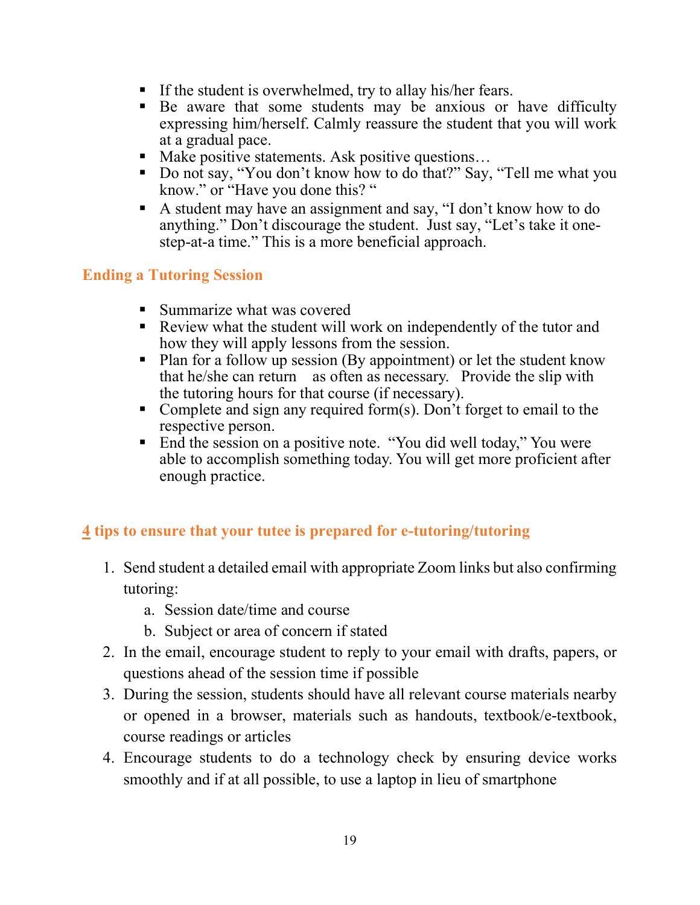- If the student is overwhelmed, try to allay his/her fears.
- Be aware that some students may be anxious or have difficulty expressing him/herself. Calmly reassure the student that you will work at a gradual pace.
- Make positive statements. Ask positive questions...
- Do not say, "You don't know how to do that?" Say, "Tell me what you know." or "Have you done this? "
- A student may have an assignment and say, "I don't know how to do anything." Don't discourage the student. Just say, "Let's take it onestep-at-a time." This is a more beneficial approach.

#### Ending a Tutoring Session

- **Summarize what was covered**
- Review what the student will work on independently of the tutor and how they will apply lessons from the session.
- Plan for a follow up session (By appointment) or let the student know that he/she can return as often as necessary. Provide the slip with the tutoring hours for that course (if necessary).
- Complete and sign any required form(s). Don't forget to email to the respective person.
- End the session on a positive note. "You did well today," You were able to accomplish something today. You will get more proficient after enough practice.

#### 4 tips to ensure that your tutee is prepared for e-tutoring/tutoring

- 1. Send student a detailed email with appropriate Zoom links but also confirming tutoring:
	- a. Session date/time and course
	- b. Subject or area of concern if stated
- 2. In the email, encourage student to reply to your email with drafts, papers, or questions ahead of the session time if possible
- 3. During the session, students should have all relevant course materials nearby or opened in a browser, materials such as handouts, textbook/e-textbook, course readings or articles
- 4. Encourage students to do a technology check by ensuring device works smoothly and if at all possible, to use a laptop in lieu of smartphone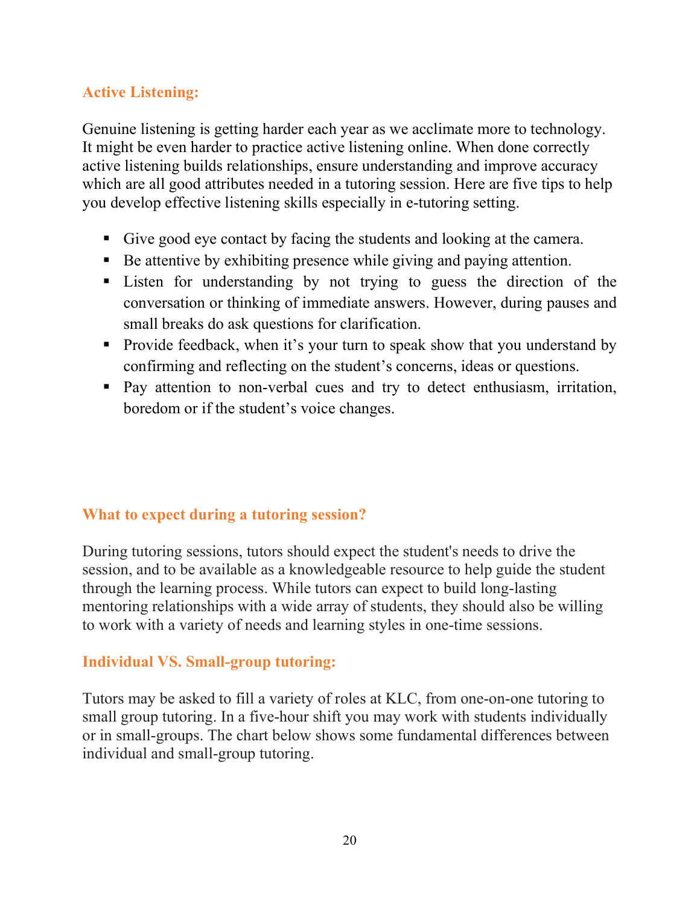## Active Listening:

Genuine listening is getting harder each year as we acclimate more to technology. It might be even harder to practice active listening online. When done correctly active listening builds relationships, ensure understanding and improve accuracy which are all good attributes needed in a tutoring session. Here are five tips to help you develop effective listening skills especially in e-tutoring setting.

- Give good eye contact by facing the students and looking at the camera.
- Be attentive by exhibiting presence while giving and paying attention.
- Listen for understanding by not trying to guess the direction of the conversation or thinking of immediate answers. However, during pauses and small breaks do ask questions for clarification.
- Provide feedback, when it's your turn to speak show that you understand by confirming and reflecting on the student's concerns, ideas or questions.
- Pay attention to non-verbal cues and try to detect enthusiasm, irritation, boredom or if the student's voice changes.

#### What to expect during a tutoring session?

During tutoring sessions, tutors should expect the student's needs to drive the session, and to be available as a knowledgeable resource to help guide the student through the learning process. While tutors can expect to build long-lasting mentoring relationships with a wide array of students, they should also be willing to work with a variety of needs and learning styles in one-time sessions.

#### Individual VS. Small-group tutoring:

Tutors may be asked to fill a variety of roles at KLC, from one-on-one tutoring to small group tutoring. In a five-hour shift you may work with students individually or in small-groups. The chart below shows some fundamental differences between individual and small-group tutoring.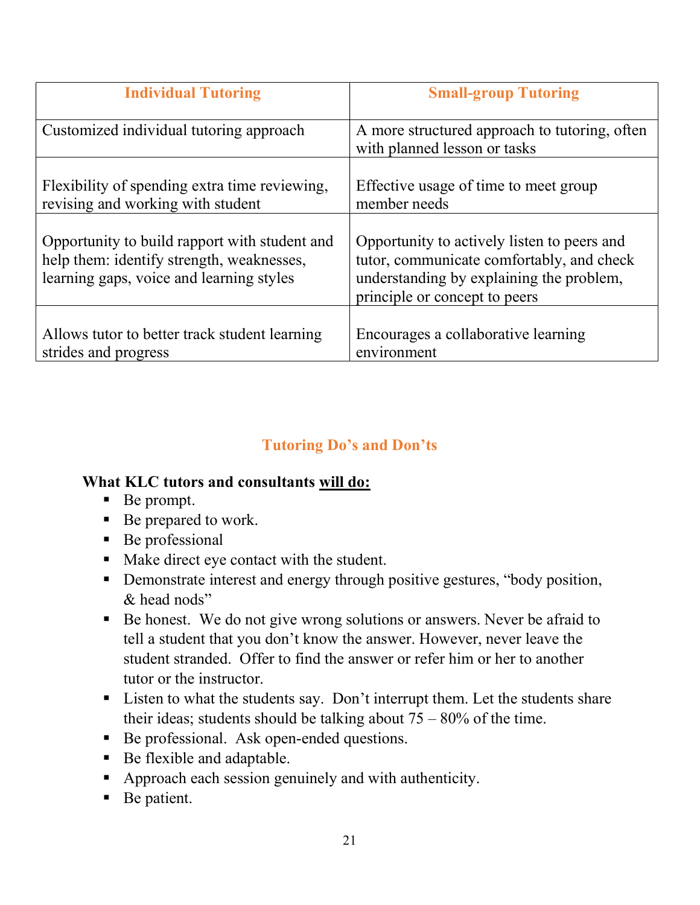| <b>Individual Tutoring</b>                                                                                                             | <b>Small-group Tutoring</b>                                                                                                                                           |
|----------------------------------------------------------------------------------------------------------------------------------------|-----------------------------------------------------------------------------------------------------------------------------------------------------------------------|
| Customized individual tutoring approach                                                                                                | A more structured approach to tutoring, often<br>with planned lesson or tasks                                                                                         |
| Flexibility of spending extra time reviewing,<br>revising and working with student                                                     | Effective usage of time to meet group<br>member needs                                                                                                                 |
| Opportunity to build rapport with student and<br>help them: identify strength, weaknesses,<br>learning gaps, voice and learning styles | Opportunity to actively listen to peers and<br>tutor, communicate comfortably, and check<br>understanding by explaining the problem,<br>principle or concept to peers |
| Allows tutor to better track student learning<br>strides and progress                                                                  | Encourages a collaborative learning<br>environment                                                                                                                    |

## Tutoring Do's and Don'ts

#### What KLC tutors and consultants will do:

- Be prompt.
- Be prepared to work.
- Be professional
- Make direct eye contact with the student.
- Demonstrate interest and energy through positive gestures, "body position," & head nods"
- Be honest. We do not give wrong solutions or answers. Never be afraid to tell a student that you don't know the answer. However, never leave the student stranded. Offer to find the answer or refer him or her to another tutor or the instructor.
- Listen to what the students say. Don't interrupt them. Let the students share their ideas; students should be talking about  $75 - 80\%$  of the time.
- Be professional. Ask open-ended questions.
- Be flexible and adaptable.
- Approach each session genuinely and with authenticity.
- Be patient.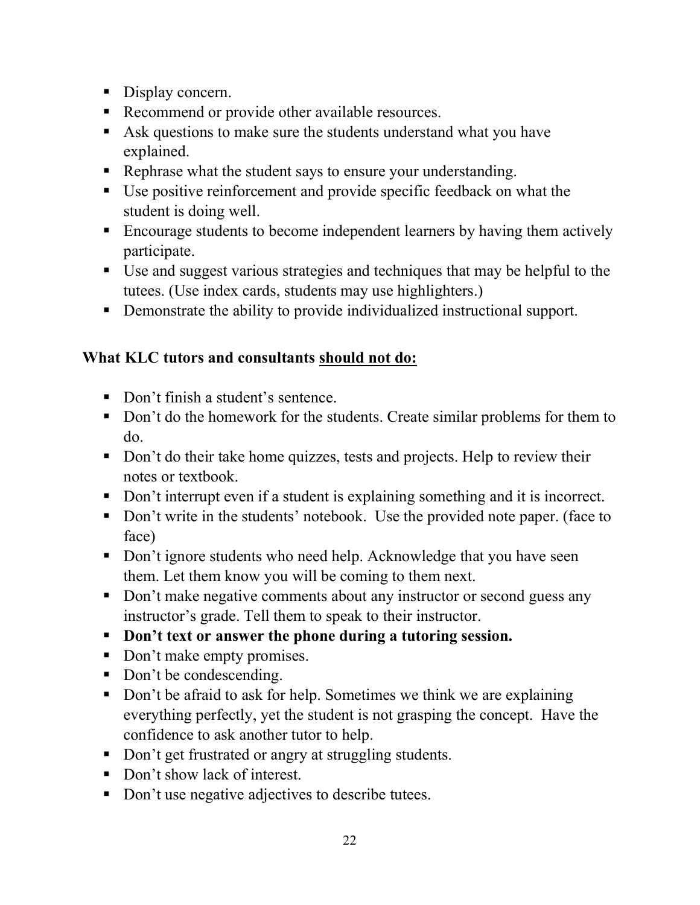- Display concern.
- Recommend or provide other available resources.
- Ask questions to make sure the students understand what you have explained.
- Rephrase what the student says to ensure your understanding.
- Use positive reinforcement and provide specific feedback on what the student is doing well.
- Encourage students to become independent learners by having them actively participate.
- Use and suggest various strategies and techniques that may be helpful to the tutees. (Use index cards, students may use highlighters.)
- Demonstrate the ability to provide individualized instructional support.

## What KLC tutors and consultants should not do:

- Don't finish a student's sentence.
- Don't do the homework for the students. Create similar problems for them to do.
- Don't do their take home quizzes, tests and projects. Help to review their notes or textbook.
- Don't interrupt even if a student is explaining something and it is incorrect.
- Don't write in the students' notebook. Use the provided note paper. (face to face)
- Don't ignore students who need help. Acknowledge that you have seen them. Let them know you will be coming to them next.
- Don't make negative comments about any instructor or second guess any instructor's grade. Tell them to speak to their instructor.
- Don't text or answer the phone during a tutoring session.
- Don't make empty promises.
- Don't be condescending.
- Don't be afraid to ask for help. Sometimes we think we are explaining everything perfectly, yet the student is not grasping the concept. Have the confidence to ask another tutor to help.
- Don't get frustrated or angry at struggling students.
- Don't show lack of interest.
- Don't use negative adjectives to describe tutees.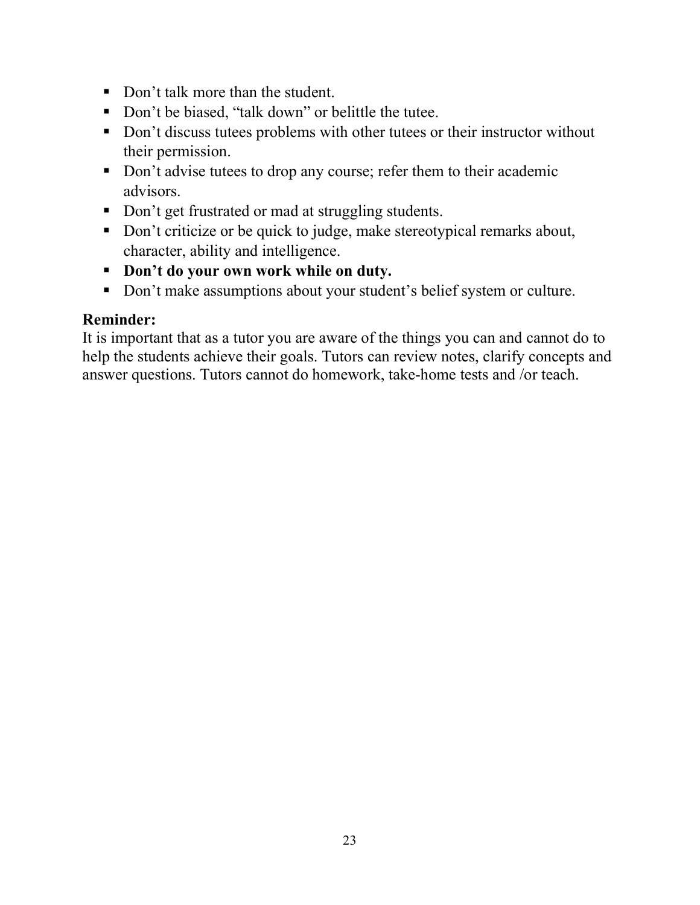- Don't talk more than the student.
- Don't be biased, "talk down" or belittle the tutee.
- Don't discuss tutees problems with other tutees or their instructor without their permission.
- Don't advise tutees to drop any course; refer them to their academic advisors.
- Don't get frustrated or mad at struggling students.
- Don't criticize or be quick to judge, make stereotypical remarks about, character, ability and intelligence.
- Don't do your own work while on duty.
- Don't make assumptions about your student's belief system or culture.

#### Reminder:

It is important that as a tutor you are aware of the things you can and cannot do to help the students achieve their goals. Tutors can review notes, clarify concepts and answer questions. Tutors cannot do homework, take-home tests and /or teach.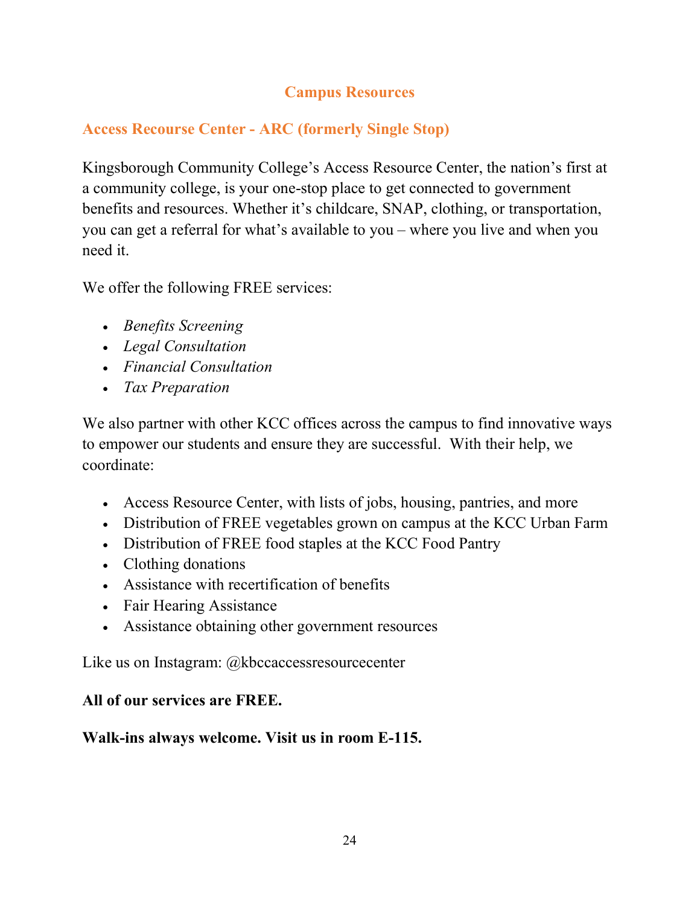## Campus Resources

## Access Recourse Center - ARC (formerly Single Stop)

Kingsborough Community College's Access Resource Center, the nation's first at a community college, is your one-stop place to get connected to government benefits and resources. Whether it's childcare, SNAP, clothing, or transportation, you can get a referral for what's available to you – where you live and when you need it.

We offer the following FREE services:

- Benefits Screening
- Legal Consultation
- Financial Consultation
- Tax Preparation

We also partner with other KCC offices across the campus to find innovative ways to empower our students and ensure they are successful. With their help, we coordinate:

- Access Resource Center, with lists of jobs, housing, pantries, and more
- Distribution of FREE vegetables grown on campus at the KCC Urban Farm
- Distribution of FREE food staples at the KCC Food Pantry
- Clothing donations
- Assistance with recertification of benefits
- Fair Hearing Assistance
- Assistance obtaining other government resources

Like us on Instagram: @kbccaccessresourcecenter

## All of our services are FREE.

## Walk-ins always welcome. Visit us in room E-115.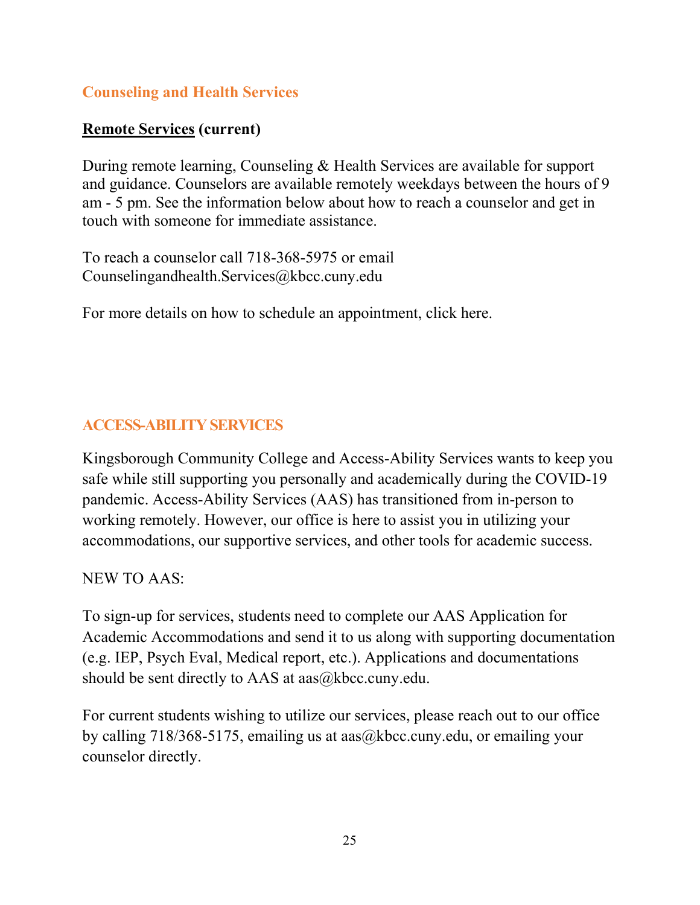## Counseling and Health Services

## Remote Services (current)

During remote learning, Counseling & Health Services are available for support and guidance. Counselors are available remotely weekdays between the hours of 9 am - 5 pm. See the information below about how to reach a counselor and get in touch with someone for immediate assistance.

To reach a counselor call 718-368-5975 or email Counselingandhealth.Services@kbcc.cuny.edu

For more details on how to schedule an appointment, click here.

## ACCESS-ABILITY SERVICES

Kingsborough Community College and Access-Ability Services wants to keep you safe while still supporting you personally and academically during the COVID-19 pandemic. Access-Ability Services (AAS) has transitioned from in-person to working remotely. However, our office is here to assist you in utilizing your accommodations, our supportive services, and other tools for academic success.

NEW TO AAS:

To sign-up for services, students need to complete our AAS Application for Academic Accommodations and send it to us along with supporting documentation (e.g. IEP, Psych Eval, Medical report, etc.). Applications and documentations should be sent directly to AAS at aas@kbcc.cuny.edu.

For current students wishing to utilize our services, please reach out to our office by calling 718/368-5175, emailing us at aas@kbcc.cuny.edu, or emailing your counselor directly.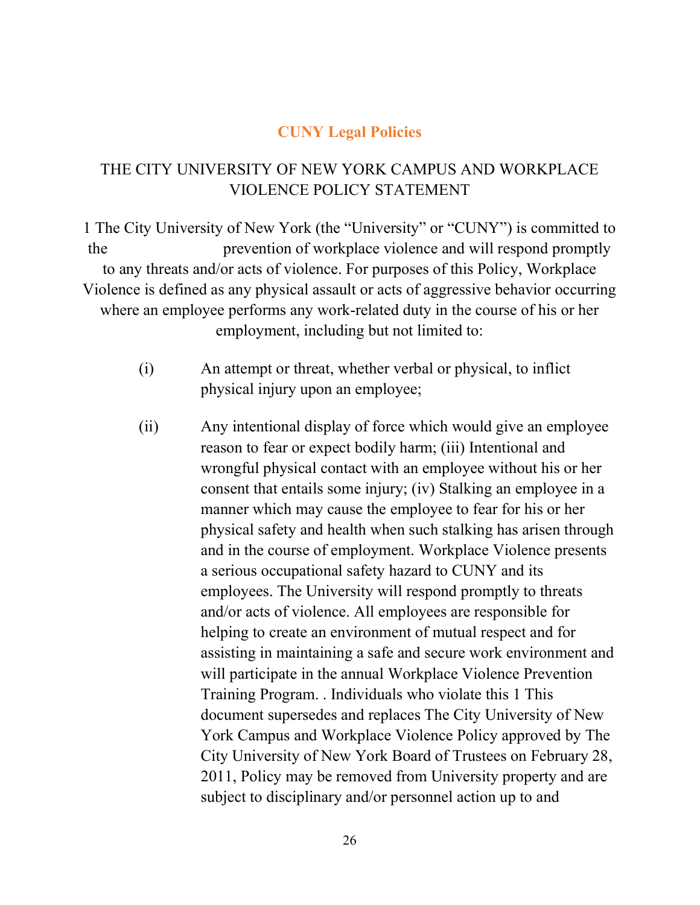#### CUNY Legal Policies

### THE CITY UNIVERSITY OF NEW YORK CAMPUS AND WORKPLACE VIOLENCE POLICY STATEMENT

1 The City University of New York (the "University" or "CUNY") is committed to the prevention of workplace violence and will respond promptly to any threats and/or acts of violence. For purposes of this Policy, Workplace Violence is defined as any physical assault or acts of aggressive behavior occurring where an employee performs any work-related duty in the course of his or her employment, including but not limited to:

- (i) An attempt or threat, whether verbal or physical, to inflict physical injury upon an employee;
- (ii) Any intentional display of force which would give an employee reason to fear or expect bodily harm; (iii) Intentional and wrongful physical contact with an employee without his or her consent that entails some injury; (iv) Stalking an employee in a manner which may cause the employee to fear for his or her physical safety and health when such stalking has arisen through and in the course of employment. Workplace Violence presents a serious occupational safety hazard to CUNY and its employees. The University will respond promptly to threats and/or acts of violence. All employees are responsible for helping to create an environment of mutual respect and for assisting in maintaining a safe and secure work environment and will participate in the annual Workplace Violence Prevention Training Program. . Individuals who violate this 1 This document supersedes and replaces The City University of New York Campus and Workplace Violence Policy approved by The City University of New York Board of Trustees on February 28, 2011, Policy may be removed from University property and are subject to disciplinary and/or personnel action up to and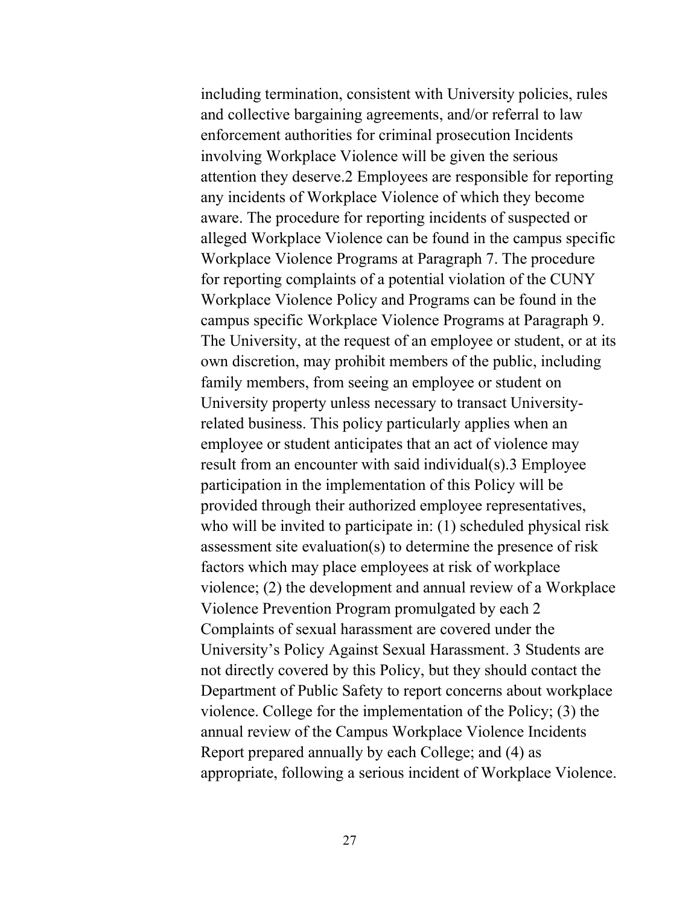including termination, consistent with University policies, rules and collective bargaining agreements, and/or referral to law enforcement authorities for criminal prosecution Incidents involving Workplace Violence will be given the serious attention they deserve.2 Employees are responsible for reporting any incidents of Workplace Violence of which they become aware. The procedure for reporting incidents of suspected or alleged Workplace Violence can be found in the campus specific Workplace Violence Programs at Paragraph 7. The procedure for reporting complaints of a potential violation of the CUNY Workplace Violence Policy and Programs can be found in the campus specific Workplace Violence Programs at Paragraph 9. The University, at the request of an employee or student, or at its own discretion, may prohibit members of the public, including family members, from seeing an employee or student on University property unless necessary to transact Universityrelated business. This policy particularly applies when an employee or student anticipates that an act of violence may result from an encounter with said individual(s).3 Employee participation in the implementation of this Policy will be provided through their authorized employee representatives, who will be invited to participate in: (1) scheduled physical risk assessment site evaluation(s) to determine the presence of risk factors which may place employees at risk of workplace violence; (2) the development and annual review of a Workplace Violence Prevention Program promulgated by each 2 Complaints of sexual harassment are covered under the University's Policy Against Sexual Harassment. 3 Students are not directly covered by this Policy, but they should contact the Department of Public Safety to report concerns about workplace violence. College for the implementation of the Policy; (3) the annual review of the Campus Workplace Violence Incidents Report prepared annually by each College; and (4) as appropriate, following a serious incident of Workplace Violence.